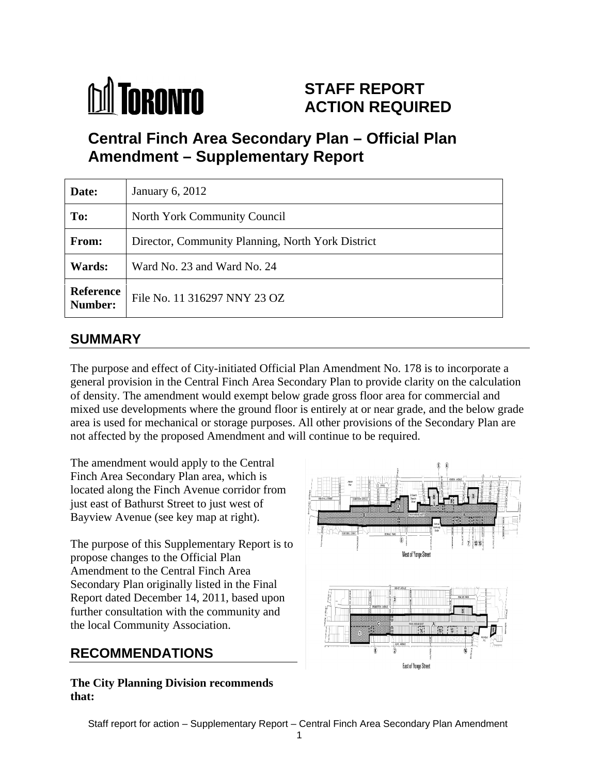

# **STAFF REPORT ACTION REQUIRED**

# **Central Finch Area Secondary Plan – Official Plan Amendment – Supplementary Report**

| Date:         | January 6, 2012                                          |
|---------------|----------------------------------------------------------|
| To:           | North York Community Council                             |
| From:         | Director, Community Planning, North York District        |
| <b>Wards:</b> | Ward No. 23 and Ward No. 24                              |
|               | <b>Reference</b><br>Number: File No. 11 316297 NNY 23 OZ |

## **SUMMARY**

The purpose and effect of City-initiated Official Plan Amendment No. 178 is to incorporate a general provision in the Central Finch Area Secondary Plan to provide clarity on the calculation of density. The amendment would exempt below grade gross floor area for commercial and mixed use developments where the ground floor is entirely at or near grade, and the below grade area is used for mechanical or storage purposes. All other provisions of the Secondary Plan are not affected by the proposed Amendment and will continue to be required.

The amendment would apply to the Central Finch Area Secondary Plan area, which is located along the Finch Avenue corridor from just east of Bathurst Street to just west of Bayview Avenue (see key map at right).

The purpose of this Supplementary Report is to  $\frac{1}{\sqrt{2}}$   $\frac{1}{\sqrt{2}}$ propose changes to the Official Plan Amendment to the Central Finch Area Secondary Plan originally listed in the Final Report dated December 14, 2011, based upon further consultation with the community and the local Community Association.

**The City Planning Division recommends that:**

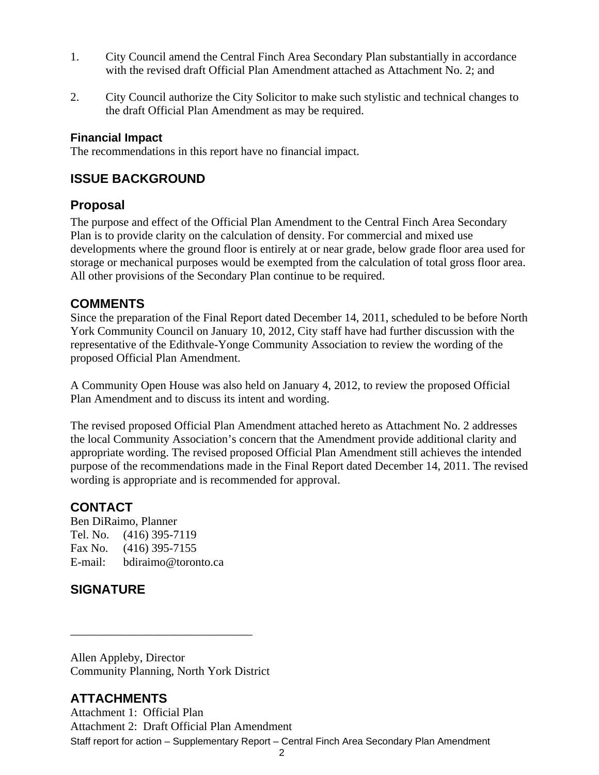- 1. City Council amend the Central Finch Area Secondary Plan substantially in accordance with the revised draft Official Plan Amendment attached as Attachment No. 2; and
- 2. City Council authorize the City Solicitor to make such stylistic and technical changes to the draft Official Plan Amendment as may be required.

## **Financial Impact**

The recommendations in this report have no financial impact.

## **ISSUE BACKGROUND**

## **Proposal**

The purpose and effect of the Official Plan Amendment to the Central Finch Area Secondary Plan is to provide clarity on the calculation of density. For commercial and mixed use developments where the ground floor is entirely at or near grade, below grade floor area used for storage or mechanical purposes would be exempted from the calculation of total gross floor area. All other provisions of the Secondary Plan continue to be required.

## **COMMENTS**

Since the preparation of the Final Report dated December 14, 2011, scheduled to be before North York Community Council on January 10, 2012, City staff have had further discussion with the representative of the Edithvale-Yonge Community Association to review the wording of the proposed Official Plan Amendment.

A Community Open House was also held on January 4, 2012, to review the proposed Official Plan Amendment and to discuss its intent and wording. The revised proposed Official Plan Amendment attached hereto as Attachment No. 2 addresses

the local Community Association's concern that the Amendment provide additional clarity and appropriate wording. The revised proposed Official Plan Amendment still achieves the intended purpose of the recommendations made in the Final Report dated December 14, 2011. The revised wording is appropriate and is recommended for approval.

 $\overline{\phantom{a}}$  , we are assumed to the contract of the contract of the contract of the contract of the contract of the contract of the contract of the contract of the contract of the contract of the contract of the contract

## **CONTACT**

Ben DiRaimo, Planner Tel. No. (416) 395-7119 Fax No. (416) 395-7155 E-mail: bdiraimo@toronto.ca

## **SIGNATURE**

Allen Appleby, Director Community Planning, North York District

## **ATTACHMENTS**

Staff report for action – Supplementary Report – Central Finch Area Secondary Plan Amendment Attachment 1: Official Plan Attachment 2: Draft Official Plan Amendment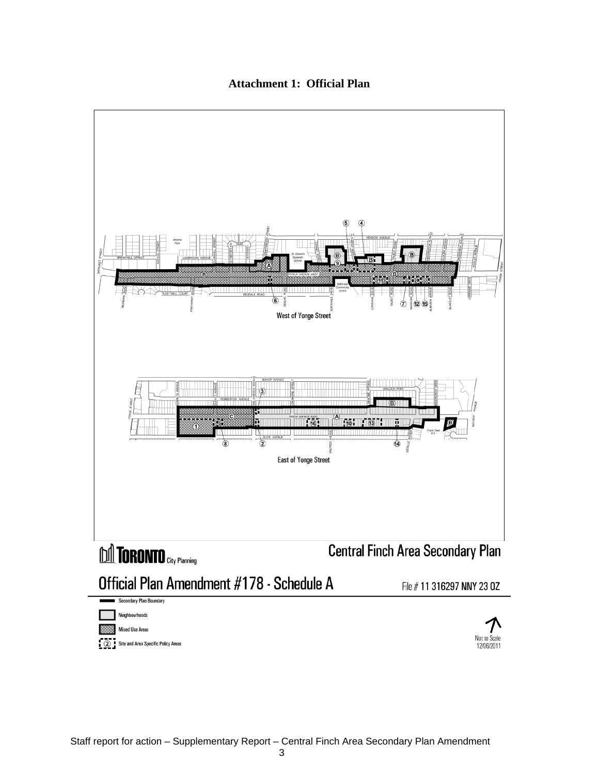#### **Attachment 1: Official Plan**

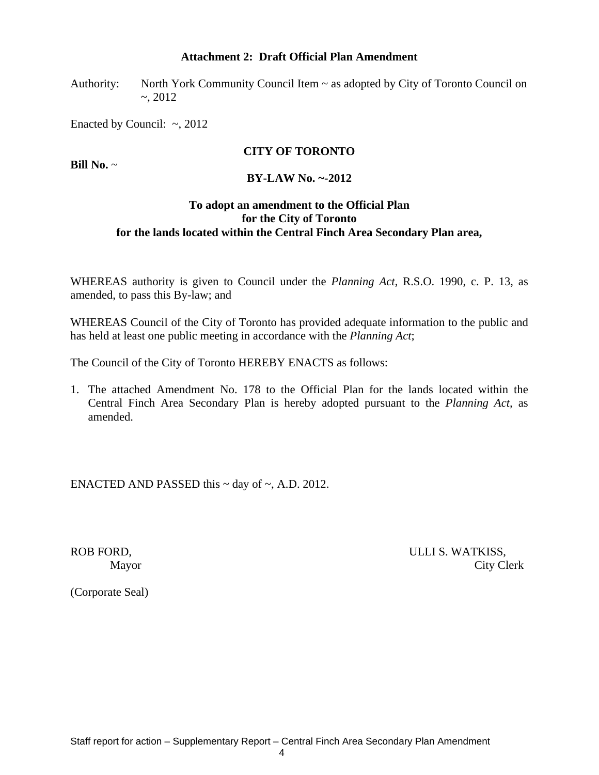#### **Attachment 2: Draft Official Plan Amendment**

Authority: North York Community Council Item ~ as adopted by City of Toronto Council on ~, 2012

Enacted by Council:  $\sim$ , 2012

## **CITY OF TORONTO**

**Bill No.** ~

#### **BY-LAW No. ~-2012**

#### **To adopt an amendment to the Official Plan for the City of Toronto for the lands located within the Central Finch Area Secondary Plan area,**

WHEREAS authority is given to Council under the *Planning Act*, R.S.O. 1990, c. P. 13, as amended, to pass this By-law; and

WHEREAS Council of the City of Toronto has provided adequate information to the public and has held at least one public meeting in accordance with the *Planning Act*;

The Council of the City of Toronto HEREBY ENACTS as follows:

1. The attached Amendment No. 178 to the Official Plan for the lands located within the Central Finch Area Secondary Plan is hereby adopted pursuant to the *Planning Act,* as amended.

ENACTED AND PASSED this  $\sim$  day of  $\sim$ , A.D. 2012.

ROB FORD, THE SERVICE OF STREET SERVICE SERVICES IN THE SERVICES OF SERVICES SUITS AND THE SERVICES SERVICES S Mayor City Clerk

(Corporate Seal)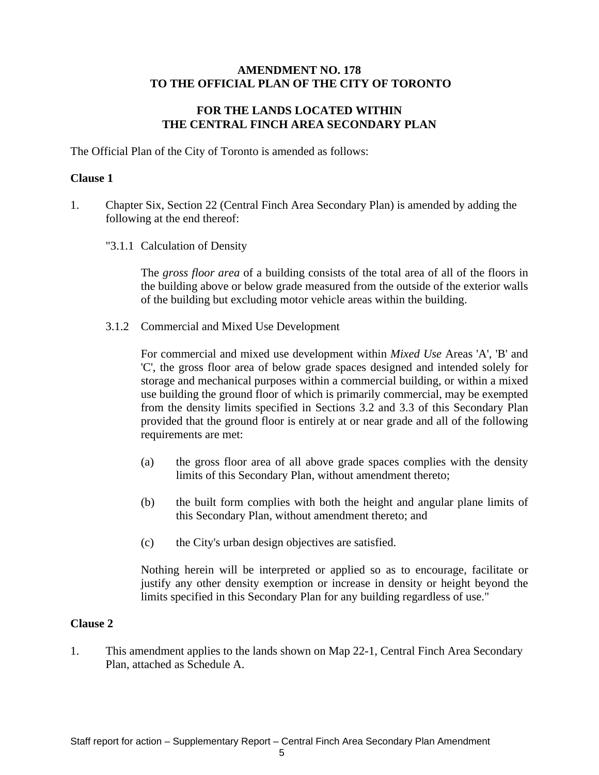## **AMENDMENT NO. 178 TO THE OFFICIAL PLAN OF THE CITY OF TORONTO**

## **FOR THE LANDS LOCATED WITHIN THE CENTRAL FINCH AREA SECONDARY PLAN**

The Official Plan of the City of Toronto is amended as follows:

## **Clause 1**

- 1. Chapter Six, Section 22 (Central Finch Area Secondary Plan) is amended by adding the following at the end thereof:
	- "3.1.1 Calculation of Density

The *gross floor area* of a building consists of the total area of all of the floors in the building above or below grade measured from the outside of the exterior walls of the building but excluding motor vehicle areas within the building.

3.1.2 Commercial and Mixed Use Development

For commercial and mixed use development within *Mixed Use* Areas 'A', 'B' and 'C', the gross floor area of below grade spaces designed and intended solely for storage and mechanical purposes within a commercial building, or within a mixed use building the ground floor of which is primarily commercial, may be exempted from the density limits specified in Sections 3.2 and 3.3 of this Secondary Plan provided that the ground floor is entirely at or near grade and all of the following requirements are met:

- (a) the gross floor area of all above grade spaces complies with the density limits of this Secondary Plan, without amendment thereto;
- (b) the built form complies with both the height and angular plane limits of this Secondary Plan, without amendment thereto; and
- (c) the City's urban design objectives are satisfied.

Nothing herein will be interpreted or applied so as to encourage, facilitate or justify any other density exemption or increase in density or height beyond the limits specified in this Secondary Plan for any building regardless of use."

#### **Clause 2**

1. This amendment applies to the lands shown on Map 22-1, Central Finch Area Secondary Plan, attached as Schedule A.